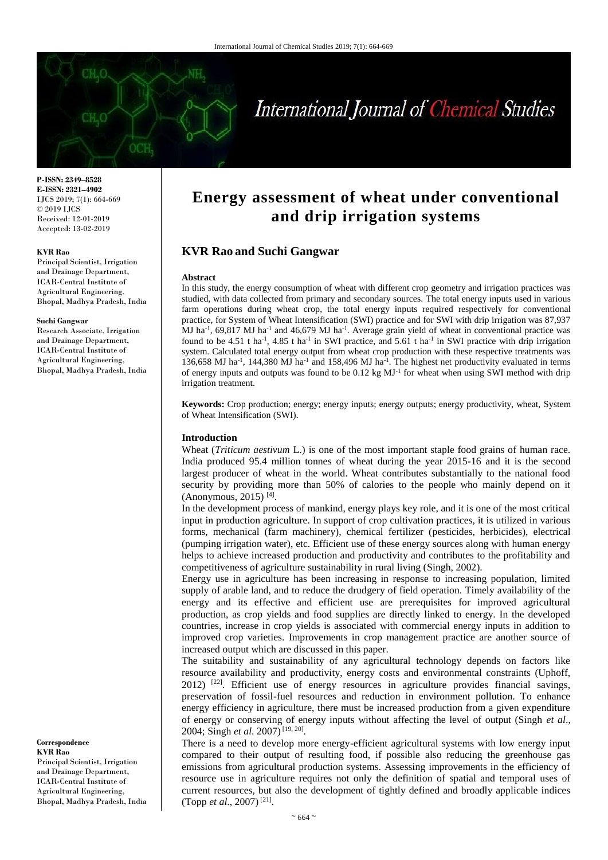

# International Journal of Chemical Studies

**P-ISSN: 2349–8528 E-ISSN: 2321–4902** IJCS 2019; 7(1): 664-669 © 2019 IJCS Received: 12-01-2019 Accepted: 13-02-2019

#### **KVR Rao**

Principal Scientist, Irrigation and Drainage Department, ICAR-Central Institute of Agricultural Engineering, Bhopal, Madhya Pradesh, India

#### **Suchi Gangwar**

Research Associate, Irrigation and Drainage Department, ICAR-Central Institute of Agricultural Engineering, Bhopal, Madhya Pradesh, India

**Correspondence KVR Rao** Principal Scientist, Irrigation

and Drainage Department, ICAR-Central Institute of Agricultural Engineering, Bhopal, Madhya Pradesh, India

## **Energy assessment of wheat under conventional and drip irrigation systems**

## **KVR Rao and Suchi Gangwar**

#### **Abstract**

In this study, the energy consumption of wheat with different crop geometry and irrigation practices was studied, with data collected from primary and secondary sources. The total energy inputs used in various farm operations during wheat crop, the total energy inputs required respectively for conventional practice, for System of Wheat Intensification (SWI) practice and for SWI with drip irrigation was 87,937 MJ ha<sup>-1</sup>, 69,817 MJ ha<sup>-1</sup> and 46,679 MJ ha<sup>-1</sup>. Average grain yield of wheat in conventional practice was found to be 4.51 t ha<sup>-1</sup>, 4.85 t ha<sup>-1</sup> in SWI practice, and 5.61 t ha<sup>-1</sup> in SWI practice with drip irrigation system. Calculated total energy output from wheat crop production with these respective treatments was 136,658 MJ ha<sup>-1</sup>, 144,380 MJ ha<sup>-1</sup> and 158,496 MJ ha<sup>-1</sup>. The highest net productivity evaluated in terms of energy inputs and outputs was found to be 0.12 kg MJ<sup>-1</sup> for wheat when using SWI method with drip irrigation treatment.

**Keywords:** Crop production; energy; energy inputs; energy outputs; energy productivity, wheat, System of Wheat Intensification (SWI).

#### **Introduction**

Wheat (*Triticum aestivum* L.) is one of the most important staple food grains of human race. India produced 95.4 million tonnes of wheat during the year 2015-16 and it is the second largest producer of wheat in the world. Wheat contributes substantially to the national food security by providing more than 50% of calories to the people who mainly depend on it (Anonymous, 2015)<sup>[4]</sup>.

In the development process of mankind, energy plays key role, and it is one of the most critical input in production agriculture. In support of crop cultivation practices, it is utilized in various forms, mechanical (farm machinery), chemical fertilizer (pesticides, herbicides), electrical (pumping irrigation water), etc. Efficient use of these energy sources along with human energy helps to achieve increased production and productivity and contributes to the profitability and competitiveness of agriculture sustainability in rural living (Singh, 2002).

Energy use in agriculture has been increasing in response to increasing population, limited supply of arable land, and to reduce the drudgery of field operation. Timely availability of the energy and its effective and efficient use are prerequisites for improved agricultural production, as crop yields and food supplies are directly linked to energy. In the developed countries, increase in crop yields is associated with commercial energy inputs in addition to improved crop varieties. Improvements in crop management practice are another source of increased output which are discussed in this paper.

The suitability and sustainability of any agricultural technology depends on factors like resource availability and productivity, energy costs and environmental constraints (Uphoff, 2012)<sup>[22]</sup>. Efficient use of energy resources in agriculture provides financial savings, preservation of fossil-fuel resources and reduction in environment pollution. To enhance energy efficiency in agriculture, there must be increased production from a given expenditure of energy or conserving of energy inputs without affecting the level of output (Singh *et al*., 2004; Singh *et al*. 2007) [19, 20] .

There is a need to develop more energy-efficient agricultural systems with low energy input compared to their output of resulting food, if possible also reducing the greenhouse gas emissions from agricultural production systems. Assessing improvements in the efficiency of resource use in agriculture requires not only the definition of spatial and temporal uses of current resources, but also the development of tightly defined and broadly applicable indices (Topp *et al*., 2007) [21] .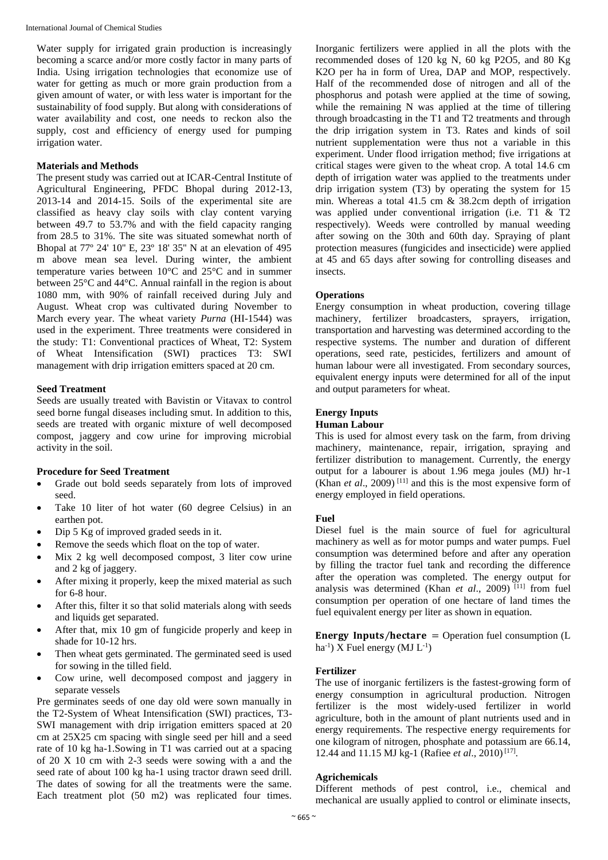International Journal of Chemical Studies

Water supply for irrigated grain production is increasingly becoming a scarce and/or more costly factor in many parts of India. Using irrigation technologies that economize use of water for getting as much or more grain production from a given amount of water, or with less water is important for the sustainability of food supply. But along with considerations of water availability and cost, one needs to reckon also the supply, cost and efficiency of energy used for pumping irrigation water.

## **Materials and Methods**

The present study was carried out at ICAR-Central Institute of Agricultural Engineering, PFDC Bhopal during 2012-13, 2013-14 and 2014-15. Soils of the experimental site are classified as heavy clay soils with clay content varying between 49.7 to 53.7% and with the field capacity ranging from 28.5 to 31%. The site was situated somewhat north of Bhopal at 77º 24' 10'' E, 23º 18' 35'' N at an elevation of 495 m above mean sea level. During winter, the ambient temperature varies between 10°C and 25°C and in summer between 25°C and 44°C. Annual rainfall in the region is about 1080 mm, with 90% of rainfall received during July and August. Wheat crop was cultivated during November to March every year. The wheat variety *Purna* (HI-1544) was used in the experiment. Three treatments were considered in the study: T1: Conventional practices of Wheat, T2: System of Wheat Intensification (SWI) practices T3: SWI management with drip irrigation emitters spaced at 20 cm.

## **Seed Treatment**

Seeds are usually treated with Bavistin or Vitavax to control seed borne fungal diseases including smut. In addition to this, seeds are treated with organic mixture of well decomposed compost, jaggery and cow urine for improving microbial activity in the soil.

## **Procedure for Seed Treatment**

- Grade out bold seeds separately from lots of improved seed.
- Take 10 liter of hot water (60 degree Celsius) in an earthen pot.
- Dip 5 Kg of improved graded seeds in it.
- Remove the seeds which float on the top of water.
- Mix 2 kg well decomposed compost, 3 liter cow urine and 2 kg of jaggery.
- After mixing it properly, keep the mixed material as such for 6-8 hour.
- After this, filter it so that solid materials along with seeds and liquids get separated.
- After that, mix 10 gm of fungicide properly and keep in shade for 10-12 hrs.
- Then wheat gets germinated. The germinated seed is used for sowing in the tilled field.
- Cow urine, well decomposed compost and jaggery in separate vessels

Pre germinates seeds of one day old were sown manually in the T2-System of Wheat Intensification (SWI) practices, T3- SWI management with drip irrigation emitters spaced at 20 cm at 25X25 cm spacing with single seed per hill and a seed rate of 10 kg ha-1.Sowing in T1 was carried out at a spacing of 20 X 10 cm with 2-3 seeds were sowing with a and the seed rate of about 100 kg ha-1 using tractor drawn seed drill. The dates of sowing for all the treatments were the same. Each treatment plot  $(50 \text{ m2})$  was replicated four times.

Inorganic fertilizers were applied in all the plots with the recommended doses of 120 kg N, 60 kg P2O5, and 80 Kg K2O per ha in form of Urea, DAP and MOP, respectively. Half of the recommended dose of nitrogen and all of the phosphorus and potash were applied at the time of sowing, while the remaining N was applied at the time of tillering through broadcasting in the T1 and T2 treatments and through the drip irrigation system in T3. Rates and kinds of soil nutrient supplementation were thus not a variable in this experiment. Under flood irrigation method; five irrigations at critical stages were given to the wheat crop. A total 14.6 cm depth of irrigation water was applied to the treatments under drip irrigation system (T3) by operating the system for 15 min. Whereas a total 41.5 cm  $\&$  38.2cm depth of irrigation was applied under conventional irrigation (i.e. T1 & T2 respectively). Weeds were controlled by manual weeding after sowing on the 30th and 60th day. Spraying of plant protection measures (fungicides and insecticide) were applied at 45 and 65 days after sowing for controlling diseases and insects.

## **Operations**

Energy consumption in wheat production, covering tillage machinery, fertilizer broadcasters, sprayers, irrigation, transportation and harvesting was determined according to the respective systems. The number and duration of different operations, seed rate, pesticides, fertilizers and amount of human labour were all investigated. From secondary sources, equivalent energy inputs were determined for all of the input and output parameters for wheat.

## **Energy Inputs**

### **Human Labour**

This is used for almost every task on the farm, from driving machinery, maintenance, repair, irrigation, spraying and fertilizer distribution to management. Currently, the energy output for a labourer is about 1.96 mega joules (MJ) hr-1 (Khan *et al.*, 2009)<sup>[11]</sup> and this is the most expensive form of energy employed in field operations.

## **Fuel**

Diesel fuel is the main source of fuel for agricultural machinery as well as for motor pumps and water pumps. Fuel consumption was determined before and after any operation by filling the tractor fuel tank and recording the difference after the operation was completed. The energy output for analysis was determined (Khan *et al.*, 2009)<sup>[11]</sup> from fuel consumption per operation of one hectare of land times the fuel equivalent energy per liter as shown in equation.

**Energy Inputs/hectare** = Operation fuel consumption  $(L)$ ha<sup>-1</sup>) X Fuel energy (MJ  $L^{-1}$ )

## **Fertilizer**

The use of inorganic fertilizers is the fastest-growing form of energy consumption in agricultural production. Nitrogen fertilizer is the most widely-used fertilizer in world agriculture, both in the amount of plant nutrients used and in energy requirements. The respective energy requirements for one kilogram of nitrogen, phosphate and potassium are 66.14, 12.44 and 11.15 MJ kg-1 (Rafiee *et al*., 2010) [17] .

## **Agrichemicals**

Different methods of pest control, i.e., chemical and mechanical are usually applied to control or eliminate insects,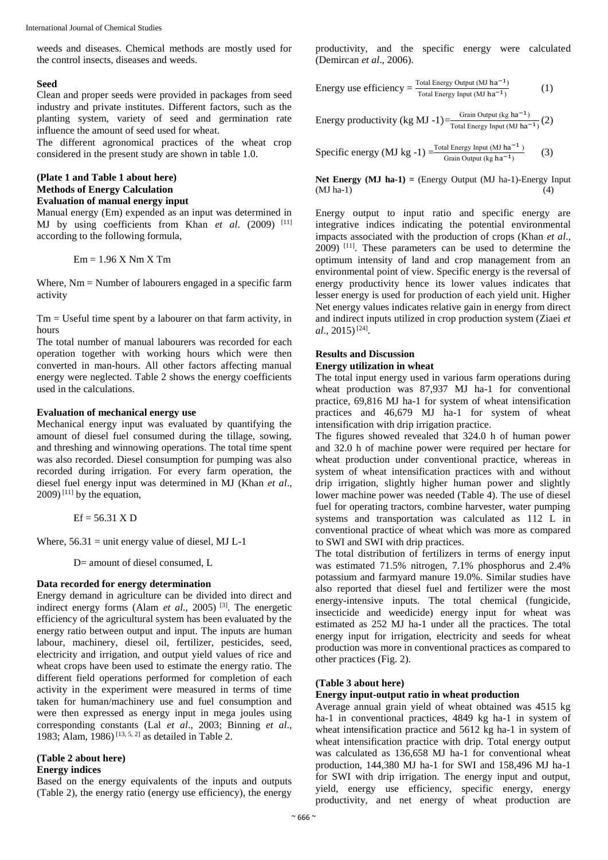weeds and diseases. Chemical methods are mostly used for the control insects, diseases and weeds.

#### **Seed**

Clean and proper seeds were provided in packages from seed industry and private institutes. Different factors, such as the planting system, variety of seed and germination rate influence the amount of seed used for wheat.

The different agronomical practices of the wheat crop considered in the present study are shown in table 1.0.

## **(Plate 1 and Table 1 about here) Methods of Energy Calculation Evaluation of manual energy input**

Manual energy (Em) expended as an input was determined in MJ by using coefficients from Khan et al. (2009) [11] according to the following formula,

 $Em = 1.96 X Nm X Tm$ 

Where, Nm = Number of labourers engaged in a specific farm activity

 $Tm =$  Useful time spent by a labourer on that farm activity, in hours

The total number of manual labourers was recorded for each operation together with working hours which were then converted in man-hours. All other factors affecting manual energy were neglected. Table 2 shows the energy coefficients used in the calculations.

#### **Evaluation of mechanical energy use**

Mechanical energy input was evaluated by quantifying the amount of diesel fuel consumed during the tillage, sowing, and threshing and winnowing operations. The total time spent was also recorded. Diesel consumption for pumping was also recorded during irrigation. For every farm operation, the diesel fuel energy input was determined in MJ (Khan *et al*.,  $2009$ <sup>[11]</sup> by the equation,

 $Ef = 56.31 X D$ 

Where,  $56.31$  = unit energy value of diesel, MJ L-1

D= amount of diesel consumed, L

#### **Data recorded for energy determination**

Energy demand in agriculture can be divided into direct and indirect energy forms (Alam *et al*., 2005) [3] . The energetic efficiency of the agricultural system has been evaluated by the energy ratio between output and input. The inputs are human labour, machinery, diesel oil, fertilizer, pesticides, seed, electricity and irrigation, and output yield values of rice and wheat crops have been used to estimate the energy ratio. The different field operations performed for completion of each activity in the experiment were measured in terms of time taken for human/machinery use and fuel consumption and were then expressed as energy input in mega joules using corresponding constants (Lal *et al*., 2003; Binning *et al*., 1983; Alam, 1986)<sup>[13, 5, 2]</sup> as detailed in Table 2.

## **(Table 2 about here)**

## **Energy indices**

Based on the energy equivalents of the inputs and outputs (Table 2), the energy ratio (energy use efficiency), the energy

productivity, and the specific energy were calculated (Demircan *et al*., 2006).

Energy use efficiency = 
$$
\frac{\text{Total Energy Output (MJ ha}^{-1})}{\text{Total Energy Input (MJ ha}^{-1})}
$$
 (1)

Energy productivity (kg MJ -1)= $\frac{\text{Grain Output} (kg \text{ ha}^{-1})}{\text{Tr} (kg \text{ MeV})}$ Total Energy Input (MJ ha−1) (2)

Specific energy (MJ kg -1)  $=\frac{\text{Total Energy Input} (MJ ha^{-1})}{\text{Grain Output} (kg ha^{-1})}$ (3)

**Net Energy (MJ ha-1) =** (Energy Output (MJ ha-1)-Energy Input  $(MJ)$  ha-1)

Energy output to input ratio and specific energy are integrative indices indicating the potential environmental impacts associated with the production of crops (Khan *et al*., 2009) [11] . These parameters can be used to determine the optimum intensity of land and crop management from an environmental point of view. Specific energy is the reversal of energy productivity hence its lower values indicates that lesser energy is used for production of each yield unit. Higher Net energy values indicates relative gain in energy from direct and indirect inputs utilized in crop production system (Ziaei *et al.*, 2015)<sup>[24]</sup>.

## **Results and Discussion**

#### **Energy utilization in wheat**

The total input energy used in various farm operations during wheat production was 87,937 MJ ha-1 for conventional practice, 69,816 MJ ha-1 for system of wheat intensification practices and 46,679 MJ ha-1 for system of wheat intensification with drip irrigation practice.

The figures showed revealed that 324.0 h of human power and 32.0 h of machine power were required per hectare for wheat production under conventional practice, whereas in system of wheat intensification practices with and without drip irrigation, slightly higher human power and slightly lower machine power was needed (Table 4). The use of diesel fuel for operating tractors, combine harvester, water pumping systems and transportation was calculated as 112 L in conventional practice of wheat which was more as compared to SWI and SWI with drip practices.

The total distribution of fertilizers in terms of energy input was estimated 71.5% nitrogen, 7.1% phosphorus and 2.4% potassium and farmyard manure 19.0%. Similar studies have also reported that diesel fuel and fertilizer were the most energy-intensive inputs. The total chemical (fungicide, insecticide and weedicide) energy input for wheat was estimated as 252 MJ ha-1 under all the practices. The total energy input for irrigation, electricity and seeds for wheat production was more in conventional practices as compared to other practices (Fig. 2).

### **(Table 3 about here)**

## **Energy input-output ratio in wheat production**

Average annual grain yield of wheat obtained was 4515 kg ha-1 in conventional practices, 4849 kg ha-1 in system of wheat intensification practice and 5612 kg ha-1 in system of wheat intensification practice with drip. Total energy output was calculated as 136,658 MJ ha-1 for conventional wheat production, 144,380 MJ ha-1 for SWI and 158,496 MJ ha-1 for SWI with drip irrigation. The energy input and output, yield, energy use efficiency, specific energy, energy productivity, and net energy of wheat production are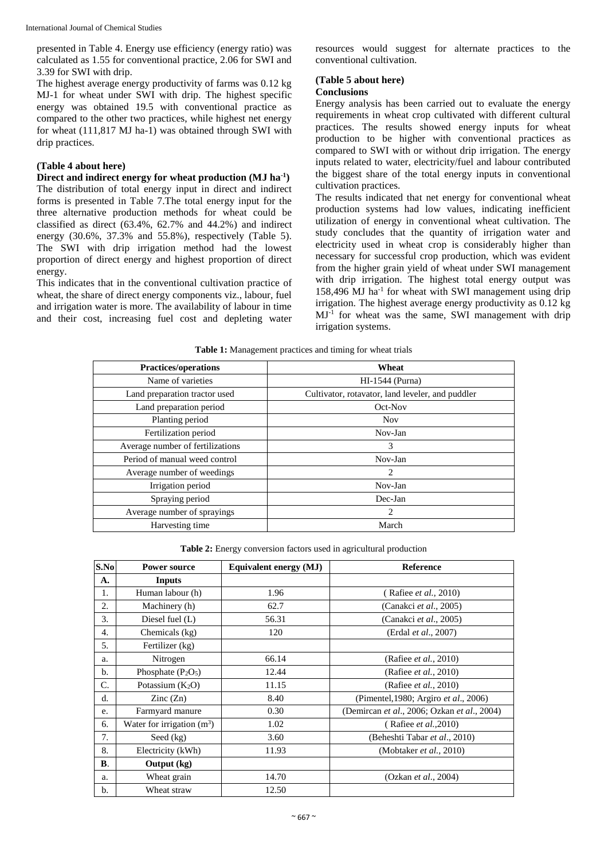International Journal of Chemical Studies

presented in Table 4. Energy use efficiency (energy ratio) was calculated as 1.55 for conventional practice, 2.06 for SWI and 3.39 for SWI with drip.

The highest average energy productivity of farms was 0.12 kg MJ-1 for wheat under SWI with drip. The highest specific energy was obtained 19.5 with conventional practice as compared to the other two practices, while highest net energy for wheat (111,817 MJ ha-1) was obtained through SWI with drip practices.

## **(Table 4 about here)**

**Direct and indirect energy for wheat production (MJ ha-1 )** The distribution of total energy input in direct and indirect forms is presented in Table 7.The total energy input for the three alternative production methods for wheat could be classified as direct (63.4%, 62.7% and 44.2%) and indirect energy (30.6%, 37.3% and 55.8%), respectively (Table 5). The SWI with drip irrigation method had the lowest proportion of direct energy and highest proportion of direct energy.

This indicates that in the conventional cultivation practice of wheat, the share of direct energy components viz., labour, fuel and irrigation water is more. The availability of labour in time and their cost, increasing fuel cost and depleting water resources would suggest for alternate practices to the conventional cultivation.

## **(Table 5 about here)**

## **Conclusions**

Energy analysis has been carried out to evaluate the energy requirements in wheat crop cultivated with different cultural practices. The results showed energy inputs for wheat production to be higher with conventional practices as compared to SWI with or without drip irrigation. The energy inputs related to water, electricity/fuel and labour contributed the biggest share of the total energy inputs in conventional cultivation practices.

The results indicated that net energy for conventional wheat production systems had low values, indicating inefficient utilization of energy in conventional wheat cultivation. The study concludes that the quantity of irrigation water and electricity used in wheat crop is considerably higher than necessary for successful crop production, which was evident from the higher grain yield of wheat under SWI management with drip irrigation. The highest total energy output was 158,496 MJ ha<sup>-1</sup> for wheat with SWI management using drip irrigation. The highest average energy productivity as 0.12 kg MJ-1 for wheat was the same, SWI management with drip irrigation systems.

| <b>Practices/operations</b>      | Wheat                                            |
|----------------------------------|--------------------------------------------------|
| Name of varieties                | HI-1544 (Purna)                                  |
| Land preparation tractor used    | Cultivator, rotavator, land leveler, and puddler |
| Land preparation period          | Oct-Nov                                          |
| Planting period                  | <b>Nov</b>                                       |
| Fertilization period             | Nov-Jan                                          |
| Average number of fertilizations | 3                                                |
| Period of manual weed control    | Nov-Jan                                          |
| Average number of weedings       | 2                                                |
| Irrigation period                | Nov-Jan                                          |
| Spraying period                  | Dec-Jan                                          |
| Average number of sprayings      | 2                                                |
| Harvesting time                  | March                                            |

**Table 1:** Management practices and timing for wheat trials

**Table 2:** Energy conversion factors used in agricultural production

| S.No       | <b>Power source</b>          | Equivalent energy (MJ) | <b>Reference</b>                            |
|------------|------------------------------|------------------------|---------------------------------------------|
| А.         | <b>Inputs</b>                |                        |                                             |
| 1.         | Human labour (h)             | 1.96                   | (Rafiee <i>et al.</i> , 2010)               |
| 2.         | Machinery (h)                | 62.7                   | (Canakci et al., 2005)                      |
| 3.         | Diesel fuel (L)              | 56.31                  | (Canakci <i>et al.</i> , 2005)              |
| 4.         | Chemicals (kg)               | 120                    | (Erdal et al., 2007)                        |
| 5.         | Fertilizer (kg)              |                        |                                             |
| a.         | Nitrogen                     | 66.14                  | (Rafiee <i>et al.</i> , 2010)               |
| b.         | Phosphate $(P_2O_5)$         | 12.44                  | (Rafiee <i>et al.</i> , 2010)               |
| C.         | Potassium $(K_2O)$           | 11.15                  | (Rafiee <i>et al.</i> , 2010)               |
| d.         | $\text{Zinc}(\text{Zn})$     | 8.40                   | (Pimentel, 1980; Argiro et al., 2006)       |
| e.         | Farmyard manure              | 0.30                   | (Demircan et al., 2006; Ozkan et al., 2004) |
| 6.         | Water for irrigation $(m^3)$ | 1.02                   | (Rafiee <i>et al.</i> , 2010)               |
| 7.         | Seed (kg)                    | 3.60                   | (Beheshti Tabar et al., 2010)               |
| 8.         | Electricity (kWh)            | 11.93                  | (Mobtaker <i>et al.</i> , 2010)             |
| $\bf{B}$ . | Output (kg)                  |                        |                                             |
| a.         | Wheat grain                  | 14.70                  | (Ozkan <i>et al.</i> , 2004)                |
| b.         | Wheat straw                  | 12.50                  |                                             |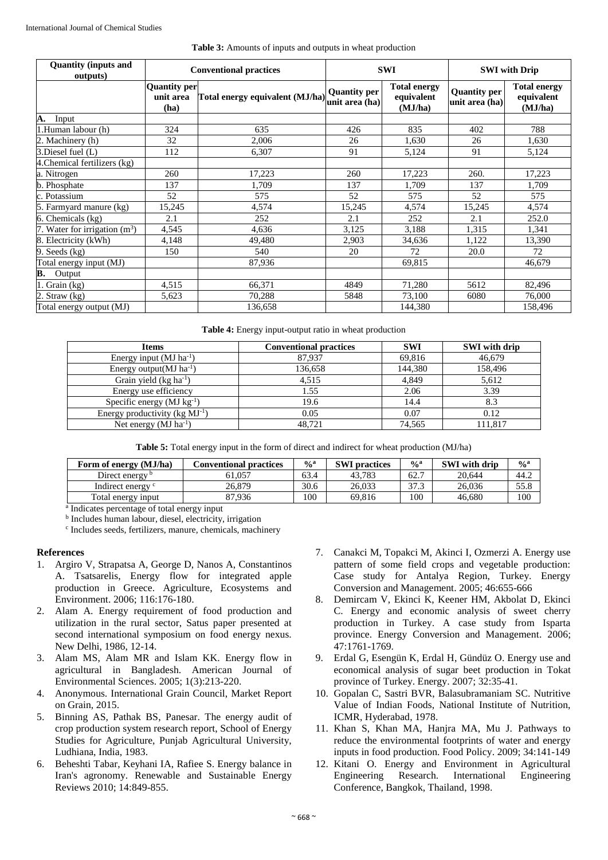| <b>Table 3:</b> Amounts of inputs and outputs in wheat production |  |  |  |
|-------------------------------------------------------------------|--|--|--|
|                                                                   |  |  |  |

| <b>Quantity (inputs and</b><br>outputs) | <b>Conventional practices</b>     |                                 |                                       | <b>SWI</b>                                   | <b>SWI</b> with Drip                  |                                              |
|-----------------------------------------|-----------------------------------|---------------------------------|---------------------------------------|----------------------------------------------|---------------------------------------|----------------------------------------------|
|                                         | Quantity per<br>unit area<br>(ha) | Total energy equivalent (MJ/ha) | <b>Quantity per</b><br>unit area (ha) | <b>Total energy</b><br>equivalent<br>(MJ/ha) | <b>Quantity per</b><br>unit area (ha) | <b>Total energy</b><br>equivalent<br>(MJ/ha) |
| A.<br>Input                             |                                   |                                 |                                       |                                              |                                       |                                              |
| .Human labour (h)                       | 324                               | 635                             | 426                                   | 835                                          | 402                                   | 788                                          |
| 2. Machinery (h)                        | 32                                | 2,006                           | 26                                    | 1,630                                        | 26                                    | 1,630                                        |
| 3.Diesel fuel (L)                       | 112                               | 6,307                           | 91                                    | 5,124                                        | 91                                    | 5,124                                        |
| 4. Chemical fertilizers (kg)            |                                   |                                 |                                       |                                              |                                       |                                              |
| a. Nitrogen                             | 260                               | 17,223                          | 260                                   | 17,223                                       | 260.                                  | 17,223                                       |
| b. Phosphate                            | 137                               | 1.709                           | 137                                   | 1,709                                        | 137                                   | 1,709                                        |
| c. Potassium                            | 52                                | 575                             | 52                                    | 575                                          | 52                                    | 575                                          |
| 5. Farmyard manure (kg)                 | 15,245                            | 4,574                           | 15,245                                | 4,574                                        | 15,245                                | 4,574                                        |
| $6.$ Chemicals $(kg)$                   | 2.1                               | 252                             | 2.1                                   | 252                                          | 2.1                                   | 252.0                                        |
| 7. Water for irrigation $(m^3)$         | 4,545                             | 4.636                           | 3,125                                 | 3,188                                        | 1,315                                 | 1,341                                        |
| 8. Electricity (kWh)                    | 4,148                             | 49,480                          | 2,903                                 | 34,636                                       | 1,122                                 | 13,390                                       |
| 9. Seeds $(kg)$                         | 150                               | 540                             | 20                                    | 72                                           | 20.0                                  | 72                                           |
| Total energy input (MJ)                 |                                   | 87,936                          |                                       | 69,815                                       |                                       | 46,679                                       |
| B.<br>Output                            |                                   |                                 |                                       |                                              |                                       |                                              |
| Grain (kg)                              | 4,515                             | 66,371                          | 4849                                  | 71,280                                       | 5612                                  | 82,496                                       |
| $2.$ Straw $(kg)$                       | 5,623                             | 70,288                          | 5848                                  | 73,100                                       | 6080                                  | 76,000                                       |
| Total energy output (MJ)                |                                   | 136,658                         |                                       | 144,380                                      |                                       | 158,496                                      |

**Table 4:** Energy input-output ratio in wheat production

| <b>Items</b>                            | <b>Conventional practices</b> | <b>SWI</b> | <b>SWI</b> with drip |
|-----------------------------------------|-------------------------------|------------|----------------------|
| Energy input $(MJ ha^{-1})$             | 87,937                        | 69,816     | 46,679               |
| Energy output $(MJ)$ ha <sup>-1</sup> ) | 136,658                       | 144,380    | 158,496              |
| Grain yield $(kg ha^{-1})$              | 4.515                         | 4.849      | 5,612                |
| Energy use efficiency                   | 1.55                          | 2.06       | 3.39                 |
| Specific energy $(MJ kg-1)$             | 19.6                          | 14.4       | 8.3                  |
| Energy productivity ( $kg MJ^{-1}$ )    | 0.05                          | 0.07       | 0.12                 |
| Net energy $(MJ ha^{-1})$               | 48.721                        | 74,565     | 111.817              |

**Table 5:** Total energy input in the form of direct and indirect for wheat production (MJ/ha)

| <b>Conventional practices</b> | $\frac{0}{a}$ | <b>SWI</b> practices | $\frac{6}{9}$ | <b>SWI</b> with drip | $\frac{6}{9}$ |
|-------------------------------|---------------|----------------------|---------------|----------------------|---------------|
| 61.057                        | 63.4          | 43.783               | 62.7          | 20.644               | 44.2          |
| 26.879                        | 30.6          | 26.033               | 37.3          | 26,036               | 55.8          |
| 87.936                        | 100           | 69.816               | 100           | 46.680               | 100           |
|                               |               |                      |               |                      |               |

a Indicates percentage of total energy input

b Includes human labour, diesel, electricity, irrigation

c Includes seeds, fertilizers, manure, chemicals, machinery

#### **References**

- 1. Argiro V, Strapatsa A, George D, Nanos A, Constantinos A. Tsatsarelis, Energy flow for integrated apple production in Greece. Agriculture, Ecosystems and Environment. 2006; 116:176-180.
- 2. Alam A. Energy requirement of food production and utilization in the rural sector, Satus paper presented at second international symposium on food energy nexus. New Delhi, 1986, 12-14.
- Alam MS, Alam MR and Islam KK. Energy flow in agricultural in Bangladesh. American Journal of Environmental Sciences. 2005; 1(3):213-220.
- 4. Anonymous. International Grain Council, Market Report on Grain, 2015.
- 5. Binning AS, Pathak BS, Panesar. The energy audit of crop production system research report, School of Energy Studies for Agriculture, Punjab Agricultural University, Ludhiana, India, 1983.
- 6. Beheshti Tabar, Keyhani IA, Rafiee S. Energy balance in Iran's agronomy. Renewable and Sustainable Energy Reviews 2010; 14:849-855.
- 7. Canakci M, Topakci M, Akinci I, Ozmerzi A. Energy use pattern of some field crops and vegetable production: Case study for Antalya Region, Turkey. Energy Conversion and Management. 2005; 46:655-666
- 8. Demircam V, Ekinci K, Keener HM, Akbolat D, Ekinci C. Energy and economic analysis of sweet cherry production in Turkey. A case study from Isparta province. Energy Conversion and Management. 2006; 47:1761-1769.
- 9. Erdal G, Esengün K, Erdal H, Gündüz O. Energy use and economical analysis of sugar beet production in Tokat province of Turkey. Energy. 2007; 32:35-41.
- 10. Gopalan C, Sastri BVR, Balasubramaniam SC. Nutritive Value of Indian Foods, National Institute of Nutrition, ICMR, Hyderabad, 1978.
- 11. Khan S, Khan MA, Hanjra MA, Mu J. Pathways to reduce the environmental footprints of water and energy inputs in food production. Food Policy. 2009; 34:141-149
- 12. Kitani O. Energy and Environment in Agricultural Engineering Research. International Engineering Conference, Bangkok, Thailand, 1998.